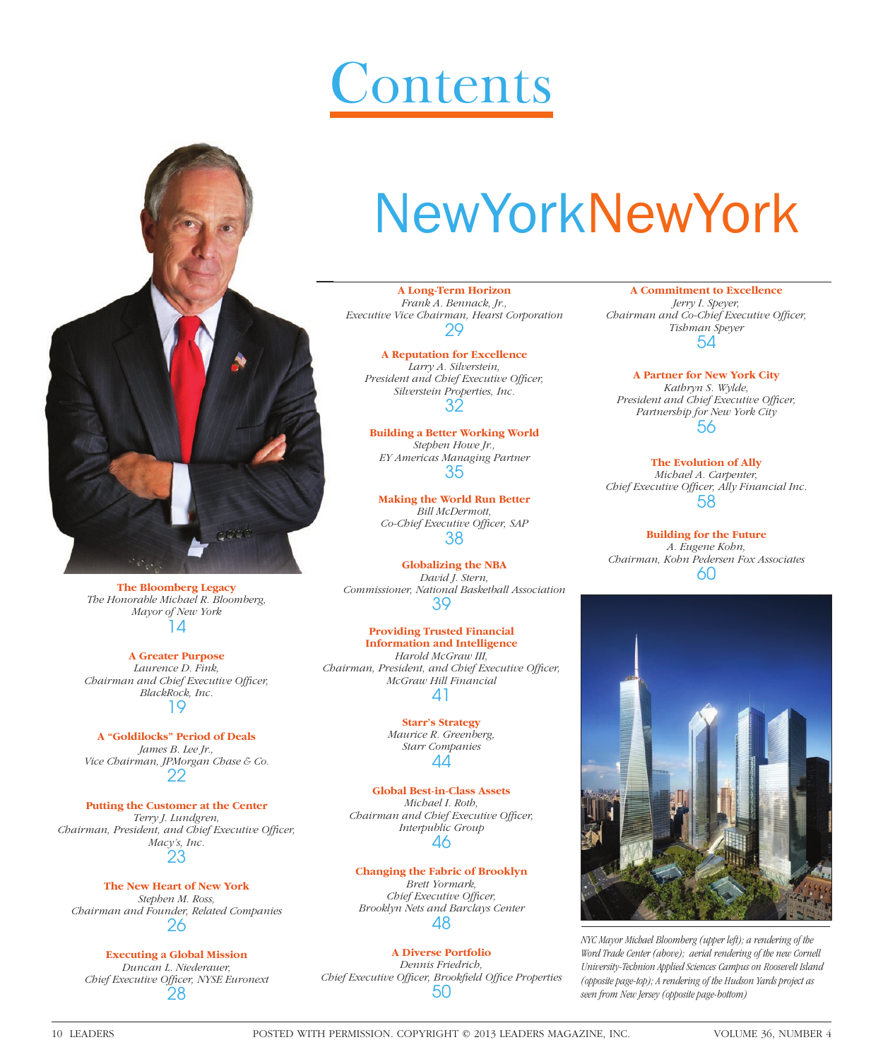# **Contents**



**The Bloomberg Legacy** *The Honorable Michael R. Bloomberg, Mayor of New York*  $\Lambda$ 

**A Greater Purpose** *Laurence D. Fink, Chairman and Chief Executive Officer, BlackRock, Inc.* 19

**A "Goldilocks" Period of Deals** *James B. Lee Jr., Vice Chairman, JPMorgan Chase & Co.* 22

**Putting the Customer at the Center** *Terry J. Lundgren, Chairman, President, and Chief Executive Officer, Macy's, Inc.* 23

**The New Heart of New York** *Stephen M. Ross, Chairman and Founder, Related Companies* 26

**Executing a Global Mission** *Duncan L. Niederauer,*  **Chief Executive Officer, NYSE Euronext** 28

# NewYorkNewYork

**A Long-Term Horizon** *Frank A. Bennack, Jr., Executive Vice Chairman, Hearst Corporation* 29

**A Reputation for Excellence** *Larry A. Silverstein,*  President and Chief Executive Officer, *Silverstein Properties, Inc.* 32

**Building a Better Working World** *Stephen Howe Jr., EY Americas Managing Partner* 35

**Making the World Run Better** *Bill McDermott,*  Co-Chief Executive Officer, SAP 38

**Globalizing the NBA** *David J. Stern, Commissioner, National Basketball Association* 39

**Providing Trusted Financial Information and Intelligence** *Harold McGraw III, Chairman, President, and Chief Executive Officer, McGraw Hill Financial* 41

> **Starr's Strategy** *Maurice R. Greenberg, Starr Companies* 44

**Global Best-in-Class Assets** *Michael I. Roth, Chairman and Chief Executive Officer, Interpublic Group* 46

**Changing the Fabric of Brooklyn**

*Brett Yormark, Chief Executive Officer, Brooklyn Nets and Barclays Center* 48

**A Diverse Portfolio** *Dennis Friedrich, Chief Executive Officer, Brookfield Office Properties* 50

**A Commitment to Excellence** *Jerry I. Speyer, Chairman and Co-Chief Executive Officer, Tishman Speyer* 54

**A Partner for New York City** *Kathryn S. Wylde, President and Chief Executive Officer, Partnership for New York City* 56

**The Evolution of Ally** *Michael A. Carpenter, Chief Executive Officer, Ally Financial Inc.* 58

**Building for the Future** *A. Eugene Kohn, Chairman, Kohn Pedersen Fox Associates* 60



*NYC Mayor Michael Bloomberg (upper left); a rendering of the Word Trade Center (above); aerial rendering of the new Cornell University-Technion Applied Sciences Campus on Roosevelt Island (opposite page-top); A rendering of the Hudson Yards project as seen from New Jersey (opposite page-bottom)*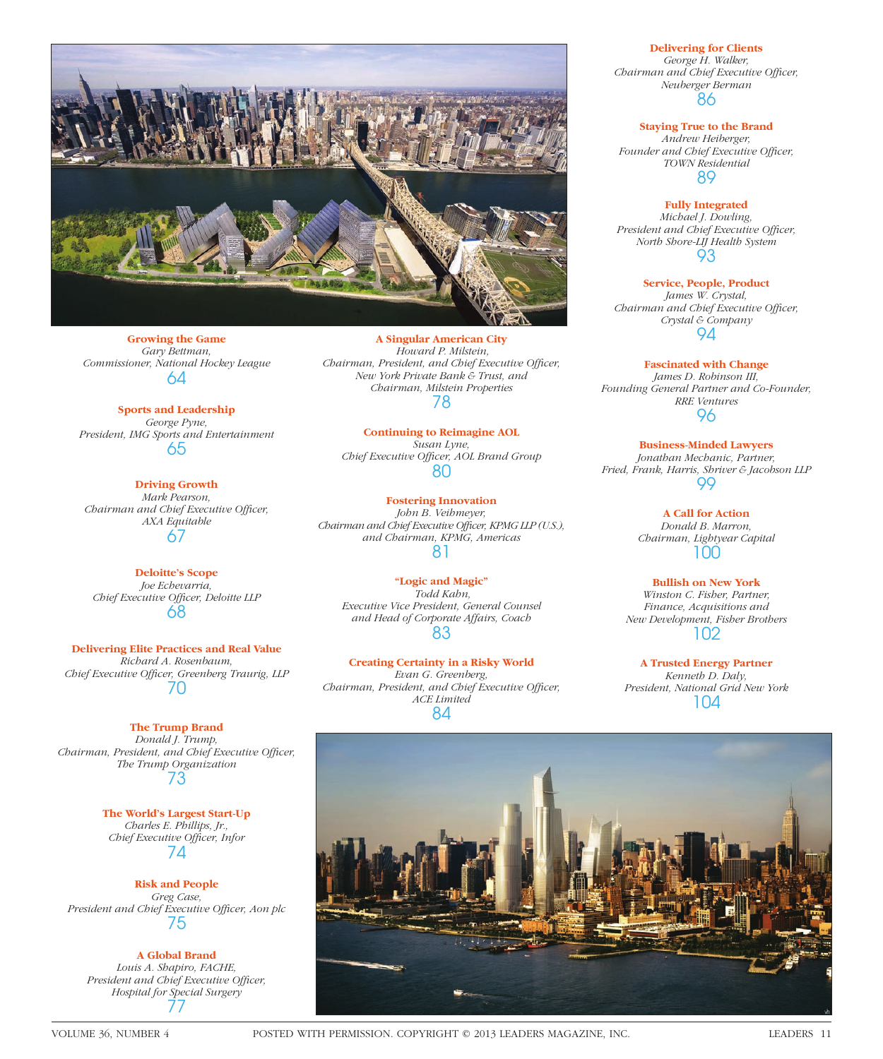

**Growing the Game** *Gary Bettman, Commissioner, National Hockey League* 64

**Sports and Leadership** *George Pyne, President, IMG Sports and Entertainment* 65

**Driving Growth** *Mark Pearson, Chairman and Chief Executive Officer, AXA Equitable* 67

**Deloitte's Scope** *Joe Echevarria,*  **Chief Executive Officer, Deloitte LLP** 68

**Delivering Elite Practices and Real Value** *Richard A. Rosenbaum,*  Chief Executive Officer, Greenberg Traurig, LLP 70

**The Trump Brand** *Donald J. Trump, Chairman, President, and Chief Executive Officer, The Trump Organization* 73

> **The World's Largest Start-Up** *Charles E. Phillips, Jr.,*  **Chief Executive Officer, Infor** 74

**Risk and People** *Greg Case,*  President and Chief Executive Officer, Aon plc 75

**A Global Brand** *Louis A. Shapiro, FACHE,*  **President and Chief Executive Officer,** *Hospital for Special Surgery* 77

**A Singular American City**  *Howard P. Milstein, Chairman, President, and Chief Executive Officer, New York Private Bank & Trust, and Chairman, Milstein Properties* 78

**Continuing to Reimagine AOL** *Susan Lyne,*  Chief Executive Officer, AOL Brand Group 80

**Fostering Innovation** *John B. Veihmeyer, Chairman and Chief Executive Officer, KPMG LLP (U.S.), and Chairman, KPMG, Americas* 81

**"Logic and Magic"**  *Todd Kahn, Executive Vice President, General Counsel and Head of Corporate Affairs, Coach* 83

**Creating Certainty in a Risky World** *Evan G. Greenberg, Chairman, President, and Chief Executive Officer, ACE Limited* 84

#### **Delivering for Clients**

*George H. Walker, Chairman and Chief Executive Officer, Neuberger Berman* 86

**Staying True to the Brand**

*Andrew Heiberger,*  Founder and Chief Executive Officer, *TOWN Residential* 89

**Fully Integrated** *Michael J. Dowling, President and Chief Executive Officer, North Shore-LIJ Health System* 93

**Service, People, Product** *James W. Crystal, Chairman and Chief Executive Officer, Crystal & Company* 94

**Fascinated with Change** *James D. Robinson III, Founding General Partner and Co-Founder, RRE Ventures* 96

**Business-Minded Lawyers** *Jonathan Mechanic, Partner, Fried, Frank, Harris, Shriver & Jacobson LLP* 99

> **A Call for Action** *Donald B. Marron, Chairman, Lightyear Capital* 100

**Bullish on New York** *Winston C. Fisher, Partner, Finance, Acquisitions and New Development, Fisher Brothers* 102

**A Trusted Energy Partner** *Kenneth D. Daly, President, National Grid New York* 104